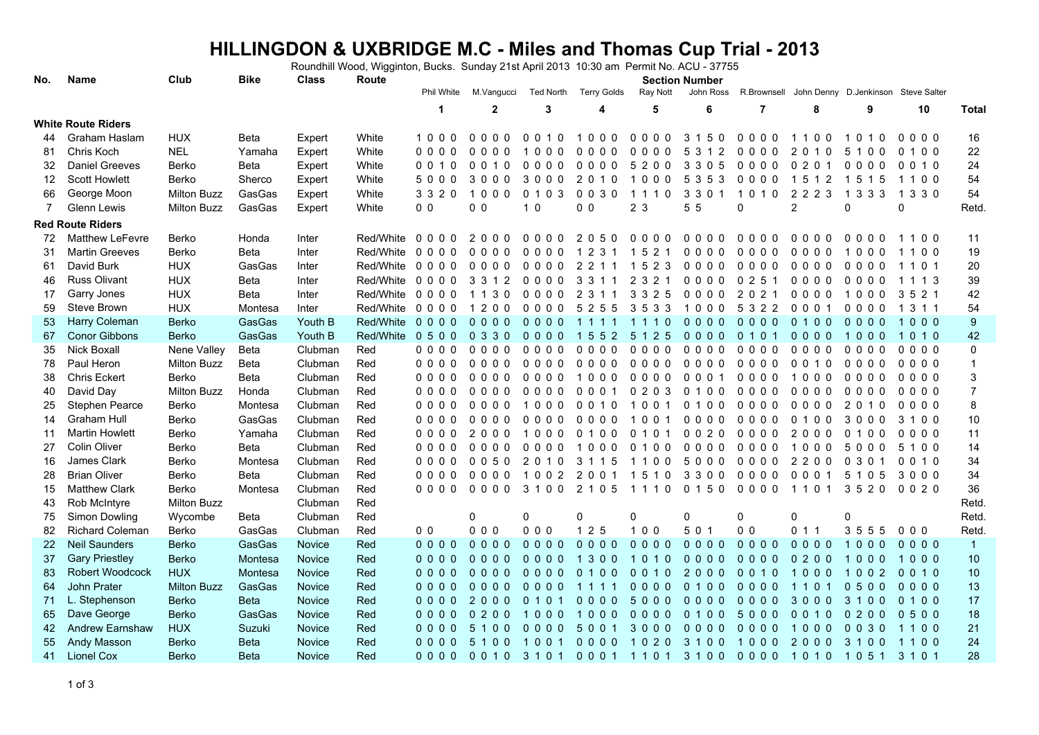## **HILLINGDON & UXBRIDGE M.C - Miles and Thomas Cup Trial - 2013** Roundhill Wood, Wigginton, Bucks. Sunday 21st April 2013 10:30 am Permit No. ACU - 37755

| No.               | <b>Name</b>               | Club               | <b>Bike</b> | <b>Class</b>  | Route             |                |                      |                            | <b>Section Number</b>                        |                       |                               |                |                                            |                                       |                                     |                           |
|-------------------|---------------------------|--------------------|-------------|---------------|-------------------|----------------|----------------------|----------------------------|----------------------------------------------|-----------------------|-------------------------------|----------------|--------------------------------------------|---------------------------------------|-------------------------------------|---------------------------|
|                   |                           |                    |             |               |                   | Phil White     | M.Vangucci           | <b>Ted North</b>           | <b>Terry Golds</b>                           | Ray Nott              | John Ross                     | R.Brownsell    |                                            |                                       | John Denny D.Jenkinson Steve Salter |                           |
|                   |                           |                    |             |               |                   | $\mathbf 1$    | $\overline{2}$       | 3                          | 4                                            | 5                     | 6                             | $\overline{7}$ | 8                                          | 9                                     | 10                                  | <b>Total</b>              |
|                   | <b>White Route Riders</b> |                    |             |               |                   |                |                      |                            |                                              |                       |                               |                |                                            |                                       |                                     |                           |
| 44                | Graham Haslam             | <b>HUX</b>         | Beta        | Expert        | White             | 1000           | $0000$               | 0010                       | 1000                                         | 0000                  | 3 1 5 0                       | $0000$         | 1100                                       | 010<br>-1                             | $0000$                              | 16                        |
| 81                | Chris Koch                | <b>NEL</b>         | Yamaha      | Expert        | White             | 0000           | 0 <sub>0</sub><br>00 | 0 <sub>0</sub><br>$\Omega$ | $\Omega$<br>$\Omega$<br>$\Omega$<br>$\Omega$ | $\Omega$<br>000       | 312<br>5                      | 0000           | 2<br>10<br>0                               | 5<br>$\Omega$<br>$\Omega$             | $\Omega$<br>100                     | 22                        |
| 32                | <b>Daniel Greeves</b>     | Berko              | Beta        | Expert        | White             | 0 0 1 0        | 0010                 | $0000$                     | $0000$                                       | 5200                  | 3 3 0 5                       | $0000$         | $\mathbf{0}$<br>2 0 1                      | $0000$                                | 0 0 1 0                             | 24                        |
| $12 \overline{ }$ | <b>Scott Howlett</b>      | <b>Berko</b>       | Sherco      | Expert        | White             | 5000           | 3000                 | 3000                       | 2 0 1 0                                      | 1000                  | 5 3 5 3                       | $0000$         | 1512                                       | 1515                                  | 1100                                | 54                        |
| 66                | George Moon               | <b>Milton Buzz</b> | GasGas      | Expert        | White             | 3 3 2 0        | 1000                 | 0 1 0 3                    | $0030$                                       | 1110                  | 3 3 0 1                       | 1010           | 2223                                       | 1 3 3 3                               | 1 3 3 0                             | 54                        |
| $\overline{7}$    | <b>Glenn Lewis</b>        | <b>Milton Buzz</b> | GasGas      | Expert        | White             | 0 <sub>0</sub> | 0 <sub>0</sub>       | 1 <sub>0</sub>             | 0 <sub>0</sub>                               | 2 <sub>3</sub>        | 55                            | $\Omega$       | $\overline{2}$                             | $\Omega$                              | $\mathbf{0}$                        | Retd                      |
|                   | <b>Red Route Riders</b>   |                    |             |               |                   |                |                      |                            |                                              |                       |                               |                |                                            |                                       |                                     |                           |
| 72                | <b>Matthew LeFevre</b>    | Berko              | Honda       | Inter         | Red/White         | 0000           | 2000                 | 0000                       | 2050                                         | 0000                  | $0000$                        | 0000           | $\Omega$<br>000                            | $\Omega$<br>0<br>$\Omega$<br>$\Omega$ | 1100                                | 11                        |
| 31                | <b>Martin Greeves</b>     | Berko              | Beta        | Inter         | Red/White         | 0000           | 0000                 | 0000                       | 1 2 3 1                                      | 1 5 2 1               | 0000                          | $0000$         | 0000                                       | 1000                                  | 1100                                | 19                        |
| 61                | David Burk                | <b>HUX</b>         | GasGas      | Inter         | Red/White 0 0 0 0 |                | 0000                 | 0000                       | 2 2 1 1                                      | 1 5 2 3               | $0000$                        | $0000$         | $0000$                                     | 0000                                  | 1101                                | $20\,$                    |
| 46                | <b>Russ Olivant</b>       | <b>HUX</b>         | Beta        | Inter         | Red/White         | 0000           | 3 3 1 2              | 0000                       | 3 3 1 1                                      | 2 3 2 1               | 0000                          | 0251           | 0000                                       | 0000                                  | 1 1 1 3                             | 39                        |
| 17                | Garry Jones               | <b>HUX</b>         | Beta        | Inter         | Red/White         | 0000           | 1 1 3 0              | 0000                       | 2<br>3 1 1                                   | 3 3 2 5               | 0000                          | 202<br>-1      | $0000$                                     | 1000                                  | 3 5 2 1                             | 42                        |
| 59                | Steve Brown               | <b>HUX</b>         | Montesa     | Inter         | Red/White         | 0000           | 1200                 | 0000                       | 5 2 5 5                                      | 3 5 3 3               | 1000                          | 5 3 2 2        | 0001                                       | 0000                                  | 1 3 1 1                             | 54                        |
| 53                | Harry Coleman             | <b>Berko</b>       | GasGas      | Youth B       | Red/White         | $0000$         | $0000$               | 0000                       | 1111                                         | 1110                  | $0000$                        | $0000$         | 0100                                       | 0000                                  | 1000                                | $\boldsymbol{9}$          |
| 67                | <b>Conor Gibbons</b>      | <b>Berko</b>       | GasGas      | Youth B       | Red/White         | 0500           | 0 3 3 0              | 0000                       | 1 5 5 2                                      | 5 1 2 5               | $0000$                        | 0 1 0 1        | $0000$                                     | 1000                                  | 1010                                | 42                        |
| 35                | <b>Nick Boxall</b>        | Nene Valley        | Beta        | Clubman       | Red               | 0000           | 0000                 | 0000                       | $0000$                                       | 0000                  | $0000$                        | 0000           | $0000$                                     | 0000                                  | 0000                                | 0                         |
| 78                | Paul Heron                | <b>Milton Buzz</b> | Beta        | Clubman       | Red               | 0000           | $0000$               | 0000                       | $0000$                                       | $0000$                | $0000$                        | 0000           | 0010                                       | 0000                                  | $0000$                              | $\mathbf{1}$              |
| 38                | <b>Chris Eckert</b>       | Berko              | Beta        | Clubman       | Red               | 0000           | 0000                 | 0000                       | 1000                                         | 0000                  | 0001                          | 0000           | 1000                                       | 0000                                  | 0000                                | $\ensuremath{\mathsf{3}}$ |
| 40                | David Day                 | <b>Milton Buzz</b> | Honda       | Clubman       | Red               | 0000           | 0000                 | 0000                       | 0001                                         | 0 2 0 3               | 0100                          | 0000           | 0000                                       | 0000                                  | $0000$                              | $\overline{7}$            |
| 25                | Stephen Pearce            | Berko              | Montesa     | Clubman       | Red               | 0000           | 0000                 | 1000                       | 0010                                         | 1001                  | 0 1 0 0                       | 0000           | $\mathbf{0}$<br>$\Omega$<br>0 <sub>0</sub> | 2<br>0 1 0                            | $0000$                              | 8                         |
| 14                | <b>Graham Hull</b>        | Berko              | GasGas      | Clubman       | Red               | 0000           | 0000                 | 0000                       | 0000                                         | 1001                  | 0000                          | 0000           | 0100                                       | 3000                                  | 3 1 0 0                             | 10                        |
| 11                | <b>Martin Howlett</b>     | Berko              | Yamaha      | Clubman       | Red               | $0000$         | 2000                 | 1000                       | 0100                                         | 0 1 0 1               | 0020                          | $0000$         | 2000                                       | 0100                                  | $0000$                              | 11                        |
| 27                | Colin Oliver              | <b>Berko</b>       | Beta        | Clubman       | Red               | 0000           | $0000$               | 0000                       | 1000                                         | 0<br>100              | $0000$                        | 0000           | 1000                                       | 5000                                  | 5 1 0 0                             | 14                        |
| 16                | James Clark               | <b>Berko</b>       | Montesa     | Clubman       | Red               | $0000$         | 0050                 | 2<br>0 1 0                 | 3<br>1 1 5                                   | 100<br>$\overline{1}$ | 5000                          | 0000           | $\overline{2}$<br>200                      | 0 3 0 1                               | 0 0 1 0                             | 34                        |
| 28                | <b>Brian Oliver</b>       | <b>Berko</b>       | Beta        | Clubman       | Red               | $0000$         | $0000$               | 1002                       | 2 0 0 1                                      | 1510                  | 3 3 0 0                       | 0000           | 0001                                       | 5 1 0 5                               | 3000                                | 34                        |
| 15                | <b>Matthew Clark</b>      | <b>Berko</b>       | Montesa     | Clubman       | Red               | $0000$         | $0000$               | 3100                       | 2 1 0 5                                      |                       | 1110 0150 0000                |                | 1101                                       | 3520 0020                             |                                     | 36                        |
| 43                | Rob McIntyre              | <b>Milton Buzz</b> |             | Clubman       | Red               |                |                      |                            |                                              |                       |                               |                |                                            |                                       |                                     | Retd.                     |
| 75                | Simon Dowling             | Wycombe            | Beta        | Clubman       | Red               |                | $\mathbf 0$          | 0                          | 0                                            | 0                     | 0                             | $\Omega$       | $\mathbf 0$                                | O                                     |                                     | Retd.                     |
| 82                | <b>Richard Coleman</b>    | <b>Berko</b>       | GasGas      | Clubman       | Red               | 0 <sub>0</sub> | 000                  | 000                        | $125$                                        | $100$                 | 5 0 1                         | 0 <sub>0</sub> | 011                                        | 3555                                  | 000                                 | Retd.                     |
| 22                | <b>Neil Saunders</b>      | <b>Berko</b>       | GasGas      | <b>Novice</b> | Red               | $0000$         | $0000$               | $0000$                     | $0000$                                       | $0000$                | $0000$                        | $0000$         | $0000$                                     | 1000                                  | 0000                                | $\overline{1}$            |
| 37                | <b>Gary Priestley</b>     | <b>Berko</b>       | Montesa     | <b>Novice</b> | Red               | $0000$         | $0000$               | $0000$                     | 1300                                         | 1010                  | $0000$                        | $0000$         | 0200                                       | 1000                                  | 1000                                | 10                        |
| 83                | Robert Woodcock           | <b>HUX</b>         | Montesa     | <b>Novice</b> | Red               | $0000$         | $0000$               | $0000$                     | 0 1 0 0                                      | 0010                  | 2000                          | 0 0 1 0        | 1000                                       | 1002                                  | 0 0 1 0                             | 10                        |
| 64                | John Prater               | <b>Milton Buzz</b> | GasGas      | <b>Novice</b> | Red               | $0000$         | $0000$               | $0000$                     | 1 1 1 1                                      | $0000$                | 0 1 0 0                       | 0000           | 1101                                       | 0500                                  | $0000$                              | 13                        |
| 71                | L. Stephenson             | <b>Berko</b>       | <b>Beta</b> | <b>Novice</b> | Red               | $0000$         | 2000                 | 0 1 0 1                    | $0000$                                       | 5000                  | $0000$                        | $0000$         | 3000                                       | 3100                                  | 0 1 0 0                             | 17                        |
| 65                | Dave George               | <b>Berko</b>       | GasGas      | <b>Novice</b> | Red               | $0000$         | $0200$               | 1000                       | 1000                                         | $0000$                | 0 1 0 0                       | 5000           | 0010                                       | 0200                                  | 0500                                | 18                        |
| 42                | Andrew Earnshaw           | <b>HUX</b>         | Suzuki      | <b>Novice</b> | Red               | $0000$         | 5 1 0 0              | $0000$                     | 5001                                         | 3000                  | $0000$                        | $0000$         | 1000                                       | $0\;0\;3\;0$                          | 1100                                | 21                        |
| 55                | Andy Masson               | <b>Berko</b>       | <b>Beta</b> | <b>Novice</b> | Red               | $0000$         | 5 1 0 0              | 1001                       | $0000$                                       | 1020                  | 3 1 0 0                       | 1000           | 2000                                       | 3100                                  | 1100                                | 24                        |
| 41                | Lionel Cox                | <b>Berko</b>       | <b>Beta</b> | Novice        | Red               |                | 0000 0010            |                            |                                              |                       | 3101 0001 1101 3100 0000 1010 |                |                                            | 10513101                              |                                     | 28                        |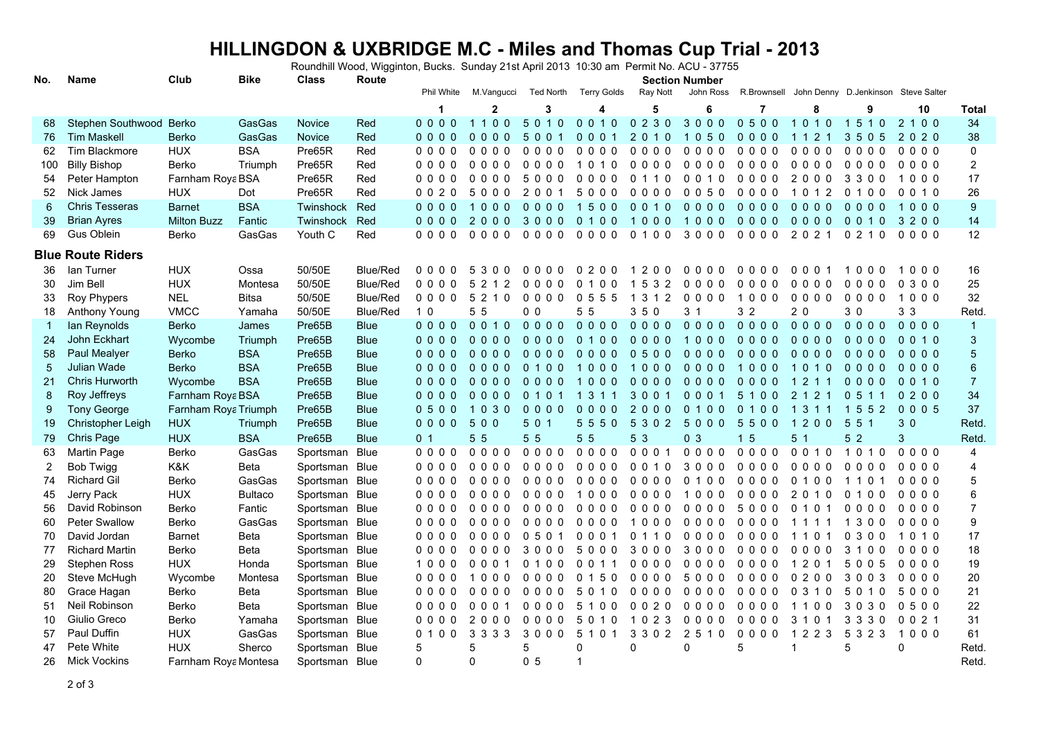## **HILLINGDON & UXBRIDGE M.C - Miles and Thomas Cup Trial - 2013** Roundhill Wood, Wigginton, Bucks. Sunday 21st April 2013 10:30 am Permit No. ACU - 37755

| No.          | Name                     | Club                 | <b>Bike</b>    | <b>Class</b>     | Route           | <b>Section Number</b> |                |                |                    |          |                       |                                                 |                |                |          |                  |
|--------------|--------------------------|----------------------|----------------|------------------|-----------------|-----------------------|----------------|----------------|--------------------|----------|-----------------------|-------------------------------------------------|----------------|----------------|----------|------------------|
|              |                          |                      |                |                  |                 | Phil White            | M.Vanqucci     | Ted North      | <b>Terry Golds</b> | Ray Nott | John Ross             | R.Brownsell John Denny D.Jenkinson Steve Salter |                |                |          |                  |
|              |                          |                      |                |                  |                 | 1                     | $\overline{2}$ | 3              | 4                  | 5        | 6                     | 7                                               | 8              | 9              | 10       | Total            |
| 68           | Stephen Southwood Berko  |                      | GasGas         | <b>Novice</b>    | Red             | $0000$                | 1100           | 5010           | 0010               | 0230     | 3000                  | 0500                                            | 1010           | 1510           | 2 1 0 0  | 34               |
| 76           | <b>Tim Maskell</b>       | <b>Berko</b>         | GasGas         | Novice           | Red             | $0000$                | $0000$         | 5001           | 0001               | 2 0 1 0  | 050<br>$\overline{1}$ | $0000$                                          | 1 1 2 1        | 3505           | 2020     | 38               |
| 62           | <b>Tim Blackmore</b>     | <b>HUX</b>           | <b>BSA</b>     | Pre65R           | Red             | $0000$                | $0000$         | $0000$         | $0000$             | $0000$   | $0000$                | $0000$                                          | $0000$         | $0000$         | $0000$   | $\mathbf 0$      |
| 100          | <b>Billy Bishop</b>      | <b>Berko</b>         | Triumph        | Pre65R           | Red             | $0000$                | $0000$         | $0000$         | 1010               | $0000$   | $0000$                | $0000$                                          | $0000$         | 0000           | 0000     | $\boldsymbol{2}$ |
| 54           | Peter Hampton            | Farnham Roya BSA     |                | Pre65R           | Red             | $0000$                | $0000$         | 5000           | $0000$             | 0 1 1 0  | 0 0 1 0               | $0000$                                          | 2000           | 3300           | 1000     | 17               |
| 52           | Nick James               | <b>HUX</b>           | Dot            | Pre65R           | Red             | 0020                  | 5000           | 2 0 0 1        | 5000               | 0000     | 0050                  | 0000                                            | 1012           | 0100           | 0 0 1 0  | 26               |
| 6            | <b>Chris Tesseras</b>    | <b>Barnet</b>        | <b>BSA</b>     | Twinshock        | Red             | $0000$                | 1000           | $0000$         | 1500               | 0010     | $0000$                | $0000$                                          | $0000$         | $0000$         | 1000     | 9                |
| 39           | <b>Brian Ayres</b>       | <b>Milton Buzz</b>   | Fantic         | <b>Twinshock</b> | Red             | $0000$                | 2000           | 3000           | 0100               | 1000     | 1000                  | $0000$                                          | $0000$         | 0010           | 3200     | 14               |
| 69           | Gus Oblein               | <b>Berko</b>         | GasGas         | Youth C          | Red             | $0000$                | $0000$         | $0000$         | $0000$             | 0100     | 3000                  | $0000$                                          | 2 0 2 1        | 0 2 1 0        | 0000     | 12               |
|              | <b>Blue Route Riders</b> |                      |                |                  |                 |                       |                |                |                    |          |                       |                                                 |                |                |          |                  |
| 36           | lan Turner               | <b>HUX</b>           | Ossa           | 50/50E           | <b>Blue/Red</b> | 0000                  | 5300           | $0000$         | 0200               | 1200     | 0000                  | $0000$                                          | 0001           | 1000           | 1000     | 16               |
| 30           | Jim Bell                 | <b>HUX</b>           | Montesa        | 50/50E           | <b>Blue/Red</b> | $0000$                | 5 2 1 2        | $0000$         | 0100               | 1 5 3 2  | $0000$                | $0000$                                          | 0000           | $0000$         | 0 3 0 0  | 25               |
| 33           | Roy Phypers              | <b>NEL</b>           | <b>Bitsa</b>   | 50/50E           | <b>Blue/Red</b> | 0000                  | 5 2 1 0        | $0000$         | 0 5 5 5            | 1 3 1 2  | $0000$                | 1000                                            | $0000$         | $0000$         | 1000     | 32               |
| 18           | Anthony Young            | <b>VMCC</b>          | Yamaha         | 50/50E           | <b>Blue/Red</b> | 1 <sub>0</sub>        | 5 5            | 0 <sub>0</sub> | 5 5                | 3 5 0    | 3 <sub>1</sub>        | 3 <sub>2</sub>                                  | 20             | 30             | 3 3      | Retd.            |
| $\mathbf{1}$ | lan Reynolds             | <b>Berko</b>         | James          | Pre65B           | <b>Blue</b>     | $0000$                | 0010           | $0000$         | $0000$             | $0000$   | $0000$                | 0000                                            | 0000           | $0000$         | $0000$   | $\overline{1}$   |
| 24           | John Eckhart             | Wycombe              | Triumph        | Pre65B           | <b>Blue</b>     | $0000$                | $0000$         | $0000$         | 0100               | $0000$   | 1000                  | $0000$                                          | $0000$         | $0000$         | 0010     | $\mathfrak{B}$   |
| 58           | Paul Mealyer             | <b>Berko</b>         | <b>BSA</b>     | Pre65B           | <b>Blue</b>     | $0000$                | $0000$         | $0000$         | $0000$             | 0500     | $0000$                | $0000$                                          | $0000$         | $0000$         | $0000$   | 5                |
| 5            | Julian Wade              | <b>Berko</b>         | <b>BSA</b>     | Pre65B           | <b>Blue</b>     | $0000$                | $0000$         | 0 1 0 0        | 1000               | 1000     | $0000$                | 1000                                            | 1010           | $0000$         | $0000$   | 6                |
| 21           | Chris Hurworth           | Wycombe              | <b>BSA</b>     | Pre65B           | <b>Blue</b>     | $0000$                | 0000           | $0000$         | 1000               | $0000$   | $0000$                | $0000$                                          | 1 2 1 1        | $0000$         | 0010     | $\overline{7}$   |
| 8            | Roy Jeffreys             | Farnham Roya BSA     |                | Pre65B           | <b>Blue</b>     | $0000$                | $0000$         | 0 1 0 1        | 1311               | 3001     | 0001 5100             |                                                 | 2 1 2 1        | 0 5 1 1        | 0200     | 34               |
| 9            | <b>Tony George</b>       | Farnham Roya Triumph |                | Pre65B           | <b>Blue</b>     | 0500                  | 1030           | $0000$         | $0000$             | 2000     | 0 1 0 0               | 0 1 0 0                                         | 1 3 1 1        | 1552           | 0005     | 37               |
| 19           | Christopher Leigh        | <b>HUX</b>           | Triumph        | Pre65B           | <b>Blue</b>     | 0000                  | 500            | 5 0 1          | 5550               | 5 3 0 2  | 5000                  | 5500                                            | 1200           | 5 5 1          | 30       | Retd.            |
| 79           | Chris Page               | <b>HUX</b>           | <b>BSA</b>     | Pre65B           | <b>Blue</b>     | 0 <sub>1</sub>        | 5 5            | 5 5            | 5 5                | 5 3      | 0 <sup>3</sup>        | 15                                              | 5 <sub>1</sub> | 5 <sub>2</sub> | 3        | Retd.            |
| 63           | Martin Page              | Berko                | GasGas         | Sportsman Blue   |                 | $0000$                | $0000$         | 0000           | $0000$             | 0001     | 0000                  | 0000                                            | 0 0 1 0        | 1010           | $0000$   | 4                |
| 2            | <b>Bob Twigg</b>         | K&K                  | Beta           | Sportsman Blue   |                 | 0000                  | $0000$         | $0000$         | 0000               | 0 0 1 0  | 3000                  | 0000                                            | 0000           | 0000           | 0000     | 4                |
| 74           | <b>Richard Gil</b>       | Berko                | GasGas         | Sportsman Blue   |                 | 0000                  | 0000           | 0000           | $0000$             | 0000     | 0 1 0 0               | 0000                                            | 0100           | 1101           | 0000     | 5                |
| 45           | Jerry Pack               | <b>HUX</b>           | <b>Bultaco</b> | Sportsman Blue   |                 | $0000$                | $0000$         | $0000$         | 1000               | $0000$   | 1000                  | $0000$                                          | 2 0 1 0        | 0100           | 0000     | 6                |
| 56           | David Robinson           | Berko                | Fantic         | Sportsman Blue   |                 | $0000$                | $0000$         | $0000$         | $0000$             | $0000$   | $0000$                | 5000                                            | 0 1 0 1        | $0000$         | $0000$   | $\overline{7}$   |
| 60           | <b>Peter Swallow</b>     | Berko                | GasGas         | Sportsman Blue   |                 | 0000                  | $0000$         | 0000           | 0000               | 1000     | 0000                  | 0000                                            | 1111           | 1 3 0 0        | 0000     | 9                |
| 70           | David Jordan             | <b>Barnet</b>        | Beta           | Sportsman Blue   |                 | 0000                  | $0000$         | 0501           | 0001               | 0110     | $0000$                | $0000$                                          | 1101           | 0300           | 1010     | 17               |
| 77           | <b>Richard Martin</b>    | Berko                | Beta           | Sportsman Blue   |                 | 0000                  | 0000           | 3000           | 5000               | 3000     | 3000                  | 0000                                            | 0000           | 3100           | 0000     | 18               |
| 29           | <b>Stephen Ross</b>      | <b>HUX</b>           | Honda          | Sportsman Blue   |                 | 1000                  | 0001           | 0100           | 0 0 1 1            | 0000     | $0000$                | $0000$                                          | 1 2 0 1        | 5005           | 0000     | 19               |
| 20           | Steve McHugh             | Wycombe              | Montesa        | Sportsman Blue   |                 | 0000                  | 1000           | $0000$         | 0 1 5 0            | 0000     | 5000                  | $0000$                                          | 0200           | 3003           | 0000     | 20               |
| 80           | Grace Hagan              | Berko                | Beta           | Sportsman Blue   |                 | $0000$                | $0000$         | $0000$         | 5 0 1 0            | 0000     | $0000$                | $0000$                                          | 0310           | 5 0 1 0        | 5000     | 21               |
| 51           | Neil Robinson            | <b>Berko</b>         | Beta           | Sportsman Blue   |                 | 0000                  | 0001           | 0000           | 5 1 0 0            | 0020     | $0000$                | $0000$                                          | 1100           | 3030           | 0500     | 22               |
| 10           | Giulio Greco             | <b>Berko</b>         | Yamaha         | Sportsman        | <b>Blue</b>     | 0000                  | 2000           | 0000           | 5010               | 1 0 2 3  | $0000$                | $0000$                                          | 3 1 0 1        | 3 3 3 0        | 0021     | 31               |
| 57           | Paul Duffin              | <b>HUX</b>           | GasGas         | Sportsman        | Blue            | 0100                  | 3 3 3 3        | 3000           | 5 1 0 1            | 3 3 0 2  | 2 5 1 0               | 0000                                            | 1 2 2 3        | 5 3 2 3        | 1000     | 61               |
| 47           | Pete White               | <b>HUX</b>           | Sherco         | Sportsman        | Blue            | 5                     | 5              | 5              | $\Omega$           | $\Omega$ | $\Omega$              | 5                                               | 1              | 5              | $\Omega$ | Retd.            |
| 26           | <b>Mick Vockins</b>      | Farnham Roya Montesa |                | Sportsman Blue   |                 | $\Omega$              | $\Omega$       | 0 <sub>5</sub> | $\mathbf{1}$       |          |                       |                                                 |                |                |          | Retd.            |